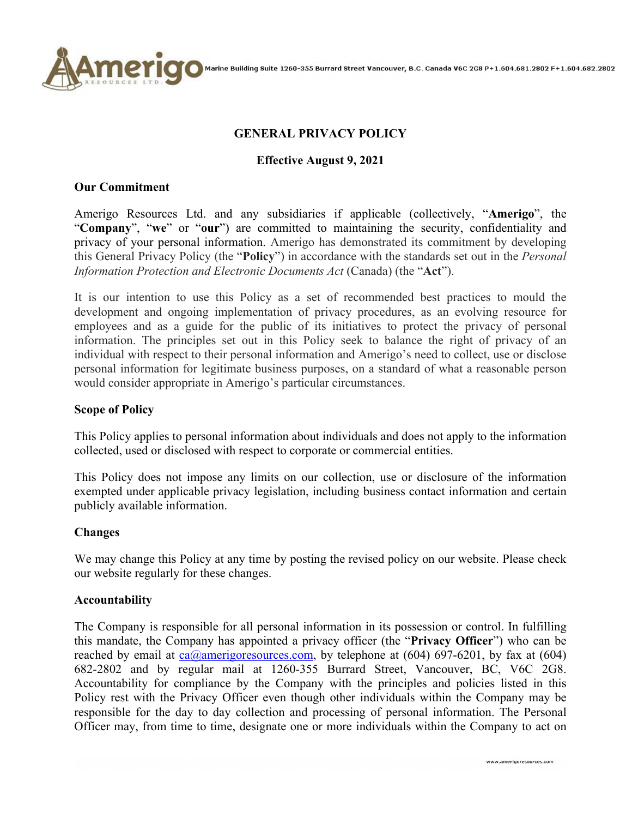

# **GENERAL PRIVACY POLICY**

### **Effective August 9, 2021**

#### **Our Commitment**

Amerigo Resources Ltd. and any subsidiaries if applicable (collectively, "**Amerigo**", the "**Company**", "**we**" or "**our**") are committed to maintaining the security, confidentiality and privacy of your personal information. Amerigo has demonstrated its commitment by developing this General Privacy Policy (the "**Policy**") in accordance with the standards set out in the *Personal Information Protection and Electronic Documents Act* (Canada) (the "**Act**").

It is our intention to use this Policy as a set of recommended best practices to mould the development and ongoing implementation of privacy procedures, as an evolving resource for employees and as a guide for the public of its initiatives to protect the privacy of personal information. The principles set out in this Policy seek to balance the right of privacy of an individual with respect to their personal information and Amerigo's need to collect, use or disclose personal information for legitimate business purposes, on a standard of what a reasonable person would consider appropriate in Amerigo's particular circumstances.

#### **Scope of Policy**

This Policy applies to personal information about individuals and does not apply to the information collected, used or disclosed with respect to corporate or commercial entities.

This Policy does not impose any limits on our collection, use or disclosure of the information exempted under applicable privacy legislation, including business contact information and certain publicly available information.

#### **Changes**

We may change this Policy at any time by posting the revised policy on our website. Please check our website regularly for these changes.

#### **Accountability**

The Company is responsible for all personal information in its possession or control. In fulfilling this mandate, the Company has appointed a privacy officer (the "**Privacy Officer**") who can be reached by email at  $ca(\theta)$  amerigoresources.com, by telephone at (604) 697-6201, by fax at (604) 682-2802 and by regular mail at 1260-355 Burrard Street, Vancouver, BC, V6C 2G8. Accountability for compliance by the Company with the principles and policies listed in this Policy rest with the Privacy Officer even though other individuals within the Company may be responsible for the day to day collection and processing of personal information. The Personal Officer may, from time to time, designate one or more individuals within the Company to act on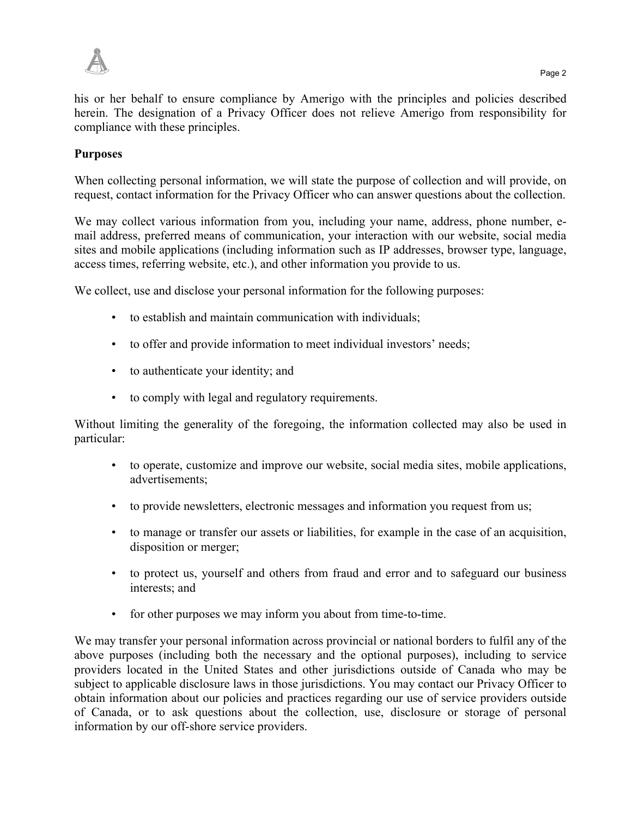

# **Purposes**

When collecting personal information, we will state the purpose of collection and will provide, on request, contact information for the Privacy Officer who can answer questions about the collection.

We may collect various information from you, including your name, address, phone number, email address, preferred means of communication, your interaction with our website, social media sites and mobile applications (including information such as IP addresses, browser type, language, access times, referring website, etc.), and other information you provide to us.

We collect, use and disclose your personal information for the following purposes:

- to establish and maintain communication with individuals;
- to offer and provide information to meet individual investors' needs;
- to authenticate your identity; and
- to comply with legal and regulatory requirements.

Without limiting the generality of the foregoing, the information collected may also be used in particular:

- to operate, customize and improve our website, social media sites, mobile applications, advertisements;
- to provide newsletters, electronic messages and information you request from us;
- to manage or transfer our assets or liabilities, for example in the case of an acquisition, disposition or merger;
- to protect us, yourself and others from fraud and error and to safeguard our business interests; and
- for other purposes we may inform you about from time-to-time.

We may transfer your personal information across provincial or national borders to fulfil any of the above purposes (including both the necessary and the optional purposes), including to service providers located in the United States and other jurisdictions outside of Canada who may be subject to applicable disclosure laws in those jurisdictions. You may contact our Privacy Officer to obtain information about our policies and practices regarding our use of service providers outside of Canada, or to ask questions about the collection, use, disclosure or storage of personal information by our off-shore service providers.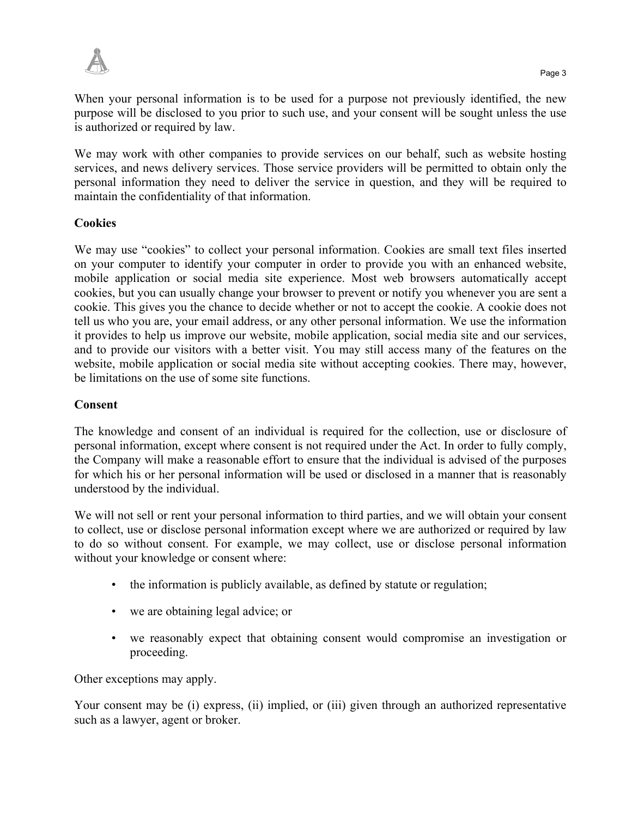When your personal information is to be used for a purpose not previously identified, the new purpose will be disclosed to you prior to such use, and your consent will be sought unless the use is authorized or required by law.

We may work with other companies to provide services on our behalf, such as website hosting services, and news delivery services. Those service providers will be permitted to obtain only the personal information they need to deliver the service in question, and they will be required to maintain the confidentiality of that information.

# **Cookies**

We may use "cookies" to collect your personal information. Cookies are small text files inserted on your computer to identify your computer in order to provide you with an enhanced website, mobile application or social media site experience. Most web browsers automatically accept cookies, but you can usually change your browser to prevent or notify you whenever you are sent a cookie. This gives you the chance to decide whether or not to accept the cookie. A cookie does not tell us who you are, your email address, or any other personal information. We use the information it provides to help us improve our website, mobile application, social media site and our services, and to provide our visitors with a better visit. You may still access many of the features on the website, mobile application or social media site without accepting cookies. There may, however, be limitations on the use of some site functions.

# **Consent**

The knowledge and consent of an individual is required for the collection, use or disclosure of personal information, except where consent is not required under the Act. In order to fully comply, the Company will make a reasonable effort to ensure that the individual is advised of the purposes for which his or her personal information will be used or disclosed in a manner that is reasonably understood by the individual.

We will not sell or rent your personal information to third parties, and we will obtain your consent to collect, use or disclose personal information except where we are authorized or required by law to do so without consent. For example, we may collect, use or disclose personal information without your knowledge or consent where:

- the information is publicly available, as defined by statute or regulation;
- we are obtaining legal advice; or
- we reasonably expect that obtaining consent would compromise an investigation or proceeding.

Other exceptions may apply.

Your consent may be (i) express, (ii) implied, or (iii) given through an authorized representative such as a lawyer, agent or broker.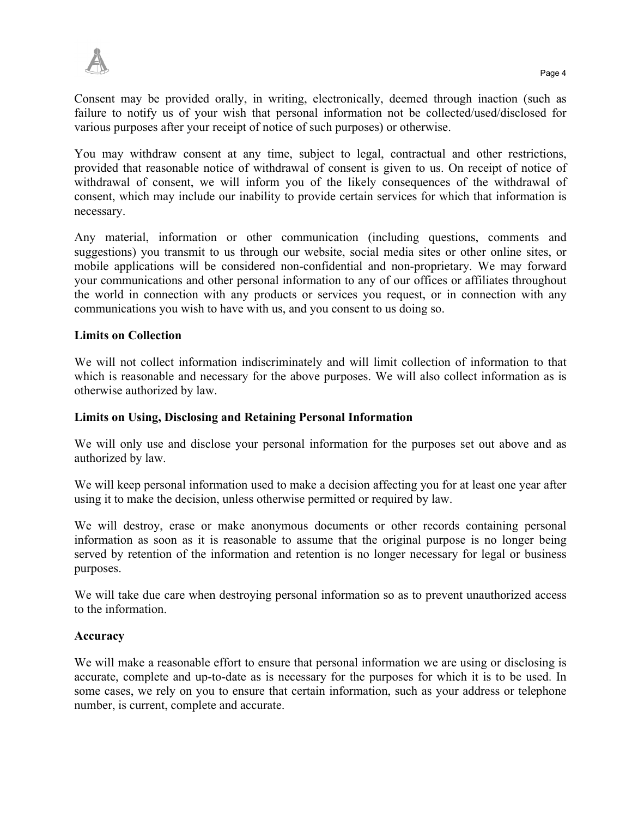Consent may be provided orally, in writing, electronically, deemed through inaction (such as failure to notify us of your wish that personal information not be collected/used/disclosed for various purposes after your receipt of notice of such purposes) or otherwise.

You may withdraw consent at any time, subject to legal, contractual and other restrictions, provided that reasonable notice of withdrawal of consent is given to us. On receipt of notice of withdrawal of consent, we will inform you of the likely consequences of the withdrawal of consent, which may include our inability to provide certain services for which that information is necessary.

Any material, information or other communication (including questions, comments and suggestions) you transmit to us through our website, social media sites or other online sites, or mobile applications will be considered non-confidential and non-proprietary. We may forward your communications and other personal information to any of our offices or affiliates throughout the world in connection with any products or services you request, or in connection with any communications you wish to have with us, and you consent to us doing so.

### **Limits on Collection**

We will not collect information indiscriminately and will limit collection of information to that which is reasonable and necessary for the above purposes. We will also collect information as is otherwise authorized by law.

#### **Limits on Using, Disclosing and Retaining Personal Information**

We will only use and disclose your personal information for the purposes set out above and as authorized by law.

We will keep personal information used to make a decision affecting you for at least one year after using it to make the decision, unless otherwise permitted or required by law.

We will destroy, erase or make anonymous documents or other records containing personal information as soon as it is reasonable to assume that the original purpose is no longer being served by retention of the information and retention is no longer necessary for legal or business purposes.

We will take due care when destroying personal information so as to prevent unauthorized access to the information.

#### **Accuracy**

We will make a reasonable effort to ensure that personal information we are using or disclosing is accurate, complete and up-to-date as is necessary for the purposes for which it is to be used. In some cases, we rely on you to ensure that certain information, such as your address or telephone number, is current, complete and accurate.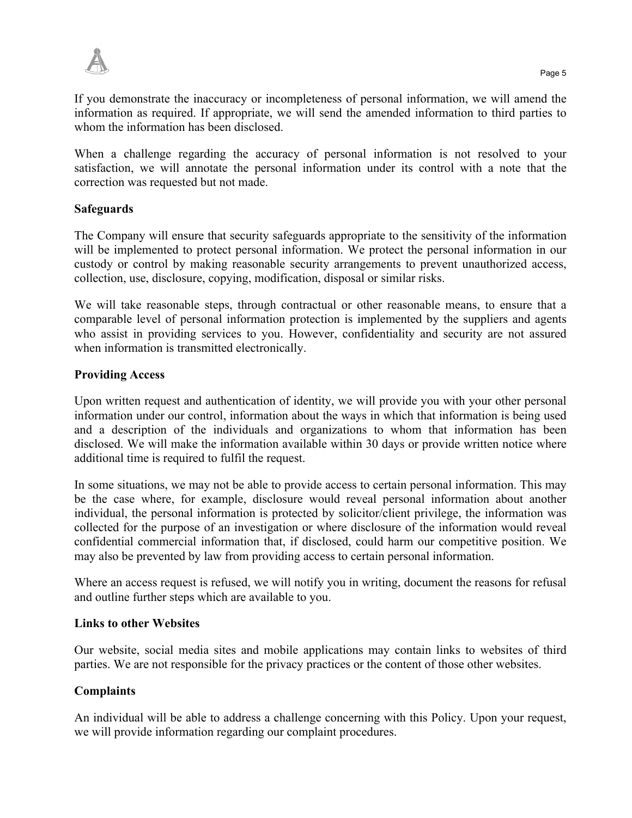If you demonstrate the inaccuracy or incompleteness of personal information, we will amend the information as required. If appropriate, we will send the amended information to third parties to whom the information has been disclosed.

When a challenge regarding the accuracy of personal information is not resolved to your satisfaction, we will annotate the personal information under its control with a note that the correction was requested but not made.

# **Safeguards**

The Company will ensure that security safeguards appropriate to the sensitivity of the information will be implemented to protect personal information. We protect the personal information in our custody or control by making reasonable security arrangements to prevent unauthorized access, collection, use, disclosure, copying, modification, disposal or similar risks.

We will take reasonable steps, through contractual or other reasonable means, to ensure that a comparable level of personal information protection is implemented by the suppliers and agents who assist in providing services to you. However, confidentiality and security are not assured when information is transmitted electronically.

# **Providing Access**

Upon written request and authentication of identity, we will provide you with your other personal information under our control, information about the ways in which that information is being used and a description of the individuals and organizations to whom that information has been disclosed. We will make the information available within 30 days or provide written notice where additional time is required to fulfil the request.

In some situations, we may not be able to provide access to certain personal information. This may be the case where, for example, disclosure would reveal personal information about another individual, the personal information is protected by solicitor/client privilege, the information was collected for the purpose of an investigation or where disclosure of the information would reveal confidential commercial information that, if disclosed, could harm our competitive position. We may also be prevented by law from providing access to certain personal information.

Where an access request is refused, we will notify you in writing, document the reasons for refusal and outline further steps which are available to you.

### **Links to other Websites**

Our website, social media sites and mobile applications may contain links to websites of third parties. We are not responsible for the privacy practices or the content of those other websites.

### **Complaints**

An individual will be able to address a challenge concerning with this Policy. Upon your request, we will provide information regarding our complaint procedures.